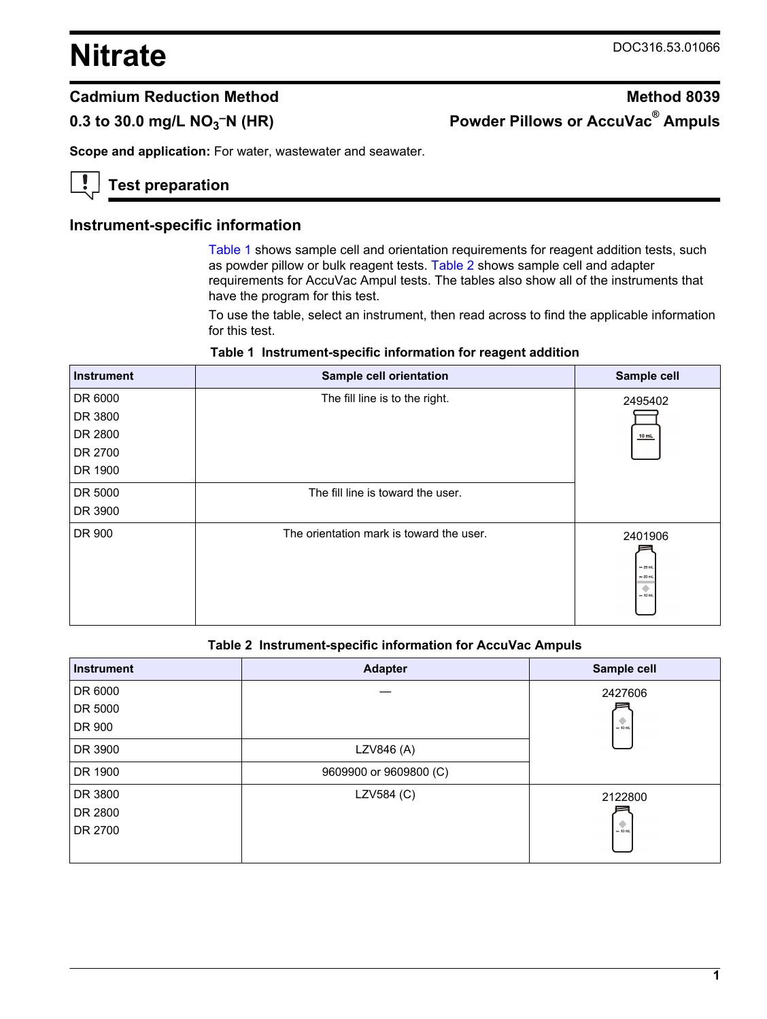# <span id="page-0-0"></span>**Nitrate** DOC316.53.01066

# **0.3 to 30.0 mg/L NO<sup>3</sup>**

# **Cadmium Reduction Method Method Method 8039 –N (HR) Powder Pillows or AccuVac® Ampuls**

**Scope and application:** For water, wastewater and seawater.

# **Test preparation**

# **Instrument-specific information**

Table 1 shows sample cell and orientation requirements for reagent addition tests, such as powder pillow or bulk reagent tests. Table 2 shows sample cell and adapter requirements for AccuVac Ampul tests. The tables also show all of the instruments that have the program for this test.

To use the table, select an instrument, then read across to find the applicable information for this test.

|  |  |  |  | Table 1 Instrument-specific information for reagent addition |
|--|--|--|--|--------------------------------------------------------------|
|--|--|--|--|--------------------------------------------------------------|

| <b>Instrument</b> | Sample cell orientation                  | Sample cell                                        |
|-------------------|------------------------------------------|----------------------------------------------------|
| DR 6000           | The fill line is to the right.           | 2495402                                            |
| DR 3800           |                                          |                                                    |
| DR 2800           |                                          | 10 mL                                              |
| DR 2700           |                                          |                                                    |
| DR 1900           |                                          |                                                    |
| DR 5000           | The fill line is toward the user.        |                                                    |
| DR 3900           |                                          |                                                    |
| DR 900            | The orientation mark is toward the user. | 2401906<br>$-25$ mL<br>$= 20$ mL<br>۰<br>$= 10$ mL |

#### **Table 2 Instrument-specific information for AccuVac Ampuls**

| <b>Instrument</b> | <b>Adapter</b>         | Sample cell |
|-------------------|------------------------|-------------|
| DR 6000           |                        | 2427606     |
| DR 5000           |                        |             |
| DR 900            |                        | $= 10$ mL   |
| DR 3900           | LZV846 (A)             |             |
| DR 1900           | 9609900 or 9609800 (C) |             |
| DR 3800           | LZV584 (C)             | 2122800     |
| DR 2800           |                        |             |
| DR 2700           |                        | $-10$ mL    |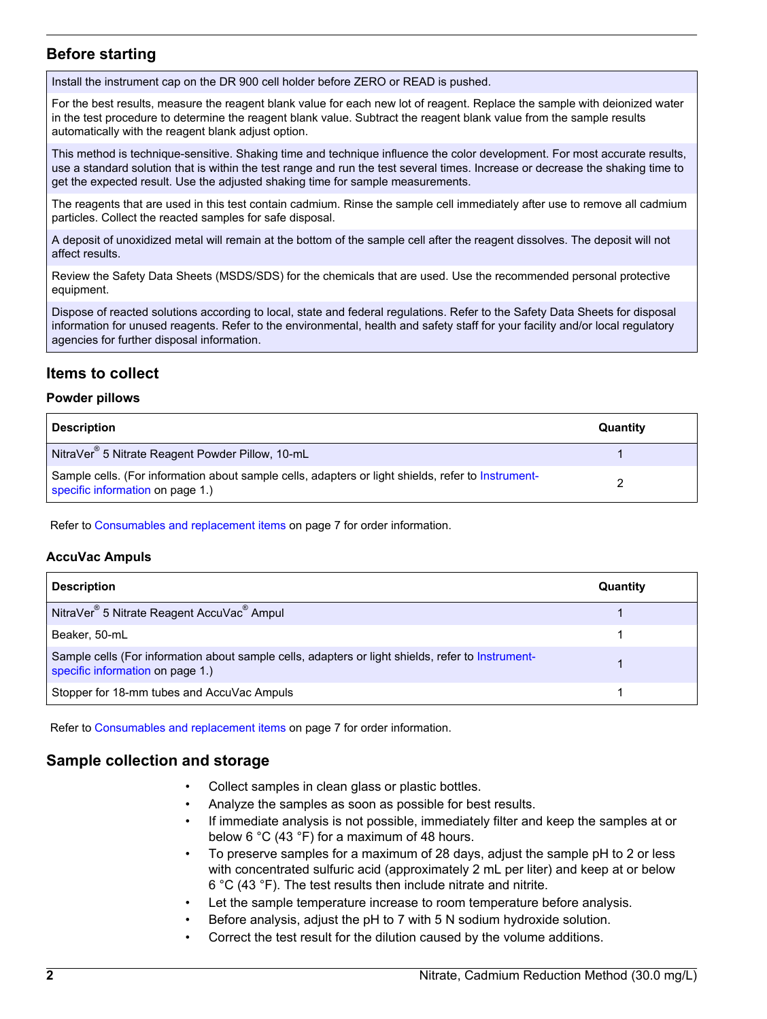# **Before starting**

Install the instrument cap on the DR 900 cell holder before ZERO or READ is pushed.

For the best results, measure the reagent blank value for each new lot of reagent. Replace the sample with deionized water in the test procedure to determine the reagent blank value. Subtract the reagent blank value from the sample results automatically with the reagent blank adjust option.

This method is technique-sensitive. Shaking time and technique influence the color development. For most accurate results, use a standard solution that is within the test range and run the test several times. Increase or decrease the shaking time to get the expected result. Use the adjusted shaking time for sample measurements.

The reagents that are used in this test contain cadmium. Rinse the sample cell immediately after use to remove all cadmium particles. Collect the reacted samples for safe disposal.

A deposit of unoxidized metal will remain at the bottom of the sample cell after the reagent dissolves. The deposit will not affect results.

Review the Safety Data Sheets (MSDS/SDS) for the chemicals that are used. Use the recommended personal protective equipment.

Dispose of reacted solutions according to local, state and federal regulations. Refer to the Safety Data Sheets for disposal information for unused reagents. Refer to the environmental, health and safety staff for your facility and/or local regulatory agencies for further disposal information.

# **Items to collect**

#### **Powder pillows**

| <b>Description</b>                                                                                                                     | Quantity |
|----------------------------------------------------------------------------------------------------------------------------------------|----------|
| NitraVer <sup>®</sup> 5 Nitrate Reagent Powder Pillow, 10-mL                                                                           |          |
| Sample cells. (For information about sample cells, adapters or light shields, refer to Instrument-<br>specific information on page 1.) |          |

Refer to [Consumables and replacement items](#page-6-0) on page 7 for order information.

#### **AccuVac Ampuls**

| <b>Description</b>                                                                                                                    | Quantity |
|---------------------------------------------------------------------------------------------------------------------------------------|----------|
| NitraVer <sup>®</sup> 5 Nitrate Reagent AccuVac <sup>®</sup> Ampul                                                                    |          |
| Beaker, 50-mL                                                                                                                         |          |
| Sample cells (For information about sample cells, adapters or light shields, refer to Instrument-<br>specific information on page 1.) |          |
| Stopper for 18-mm tubes and AccuVac Ampuls                                                                                            |          |

Refer to [Consumables and replacement items](#page-6-0) on page 7 for order information.

# **Sample collection and storage**

- Collect samples in clean glass or plastic bottles.
- Analyze the samples as soon as possible for best results.
- If immediate analysis is not possible, immediately filter and keep the samples at or below 6 °C (43 °F) for a maximum of 48 hours.
- To preserve samples for a maximum of 28 days, adjust the sample pH to 2 or less with concentrated sulfuric acid (approximately 2 mL per liter) and keep at or below 6 °C (43 °F). The test results then include nitrate and nitrite.
- Let the sample temperature increase to room temperature before analysis.
- Before analysis, adjust the pH to 7 with 5 N sodium hydroxide solution.
- Correct the test result for the dilution caused by the volume additions.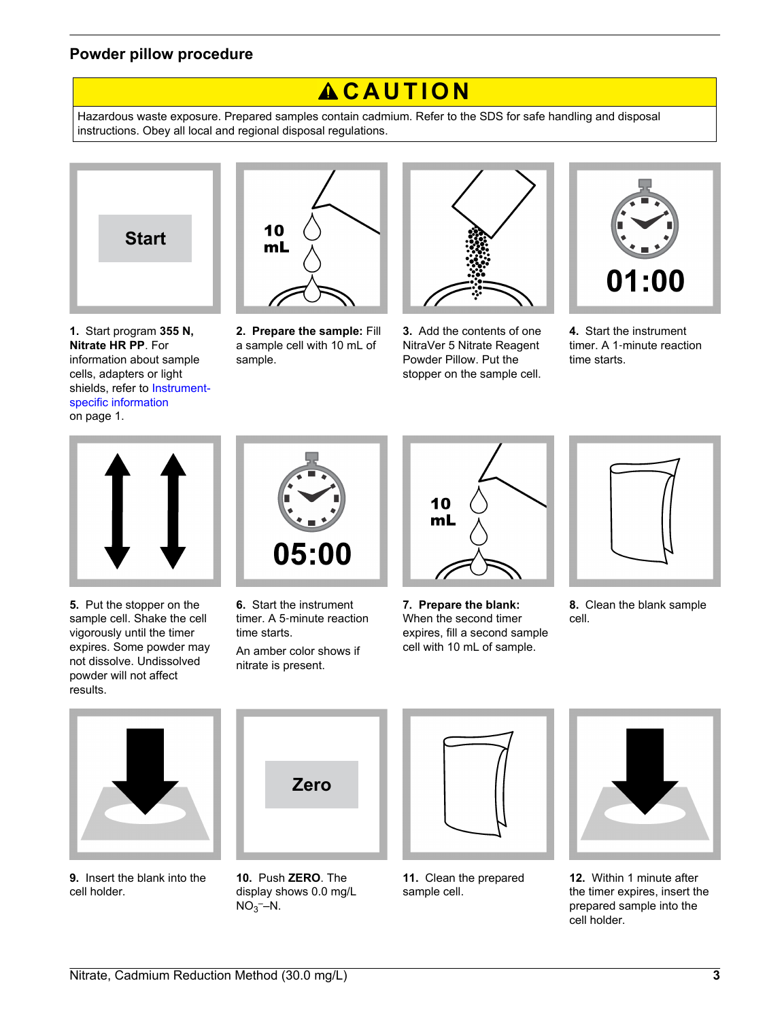# **Powder pillow procedure**

# $AC$ **AUTION**

Hazardous waste exposure. Prepared samples contain cadmium. Refer to the SDS for safe handling and disposal instructions. Obey all local and regional disposal regulations.



**1.** Start program **355 N, Nitrate HR PP**. For information about sample cells, adapters or light shields, refer to [Instrument](#page-0-0)[specific information](#page-0-0) on page 1.



**2. Prepare the sample:** Fill a sample cell with 10 mL of sample.



**3.** Add the contents of one NitraVer 5 Nitrate Reagent Powder Pillow. Put the stopper on the sample cell.



**4.** Start the instrument timer. A 1‑minute reaction time starts.



**5.** Put the stopper on the sample cell. Shake the cell vigorously until the timer expires. Some powder may not dissolve. Undissolved powder will not affect results.



**6.** Start the instrument timer. A 5‑minute reaction time starts.

An amber color shows if nitrate is present.



**7. Prepare the blank:** When the second timer expires, fill a second sample cell with 10 mL of sample.



**8.** Clean the blank sample cell.



**9.** Insert the blank into the cell holder.



**10.** Push **ZERO**. The display shows 0.0 mg/L  $NO<sub>3</sub>$ –N.



**11.** Clean the prepared sample cell.



**12.** Within 1 minute after the timer expires, insert the prepared sample into the cell holder.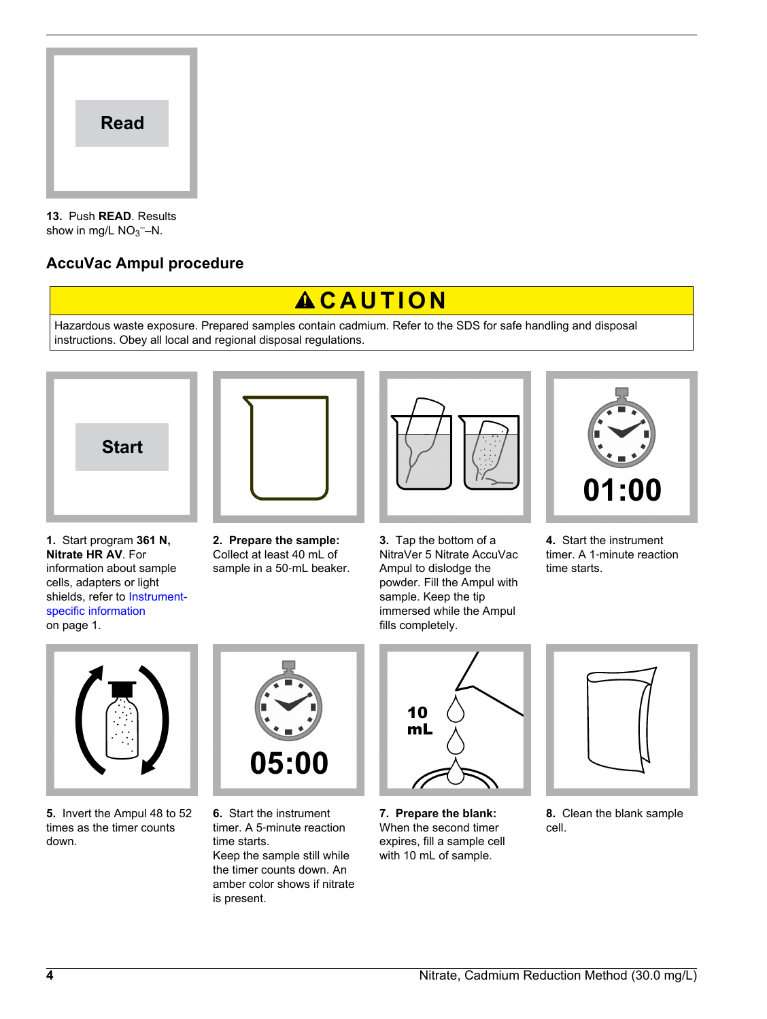

**13.** Push **READ**. Results show in mg/L  $NO<sub>3</sub>$  -N.

# **AccuVac Ampul procedure**

# $AC$ **AUTION**

Hazardous waste exposure. Prepared samples contain cadmium. Refer to the SDS for safe handling and disposal instructions. Obey all local and regional disposal regulations.







**1.** Start program **361 N, Nitrate HR AV**. For information about sample cells, adapters or light shields, refer to [Instrument](#page-0-0)[specific information](#page-0-0) on page 1.

**2. Prepare the sample:** Collect at least 40 mL of sample in a 50-mL beaker.

**3.** Tap the bottom of a NitraVer 5 Nitrate AccuVac Ampul to dislodge the powder. Fill the Ampul with sample. Keep the tip immersed while the Ampul fills completely.



**4.** Start the instrument timer. A 1‑minute reaction time starts.



**5.** Invert the Ampul 48 to 52 times as the timer counts down.



**6.** Start the instrument timer. A 5‑minute reaction time starts. Keep the sample still while the timer counts down. An amber color shows if nitrate is present.



**7. Prepare the blank:** When the second timer expires, fill a sample cell with 10 mL of sample.



**8.** Clean the blank sample cell.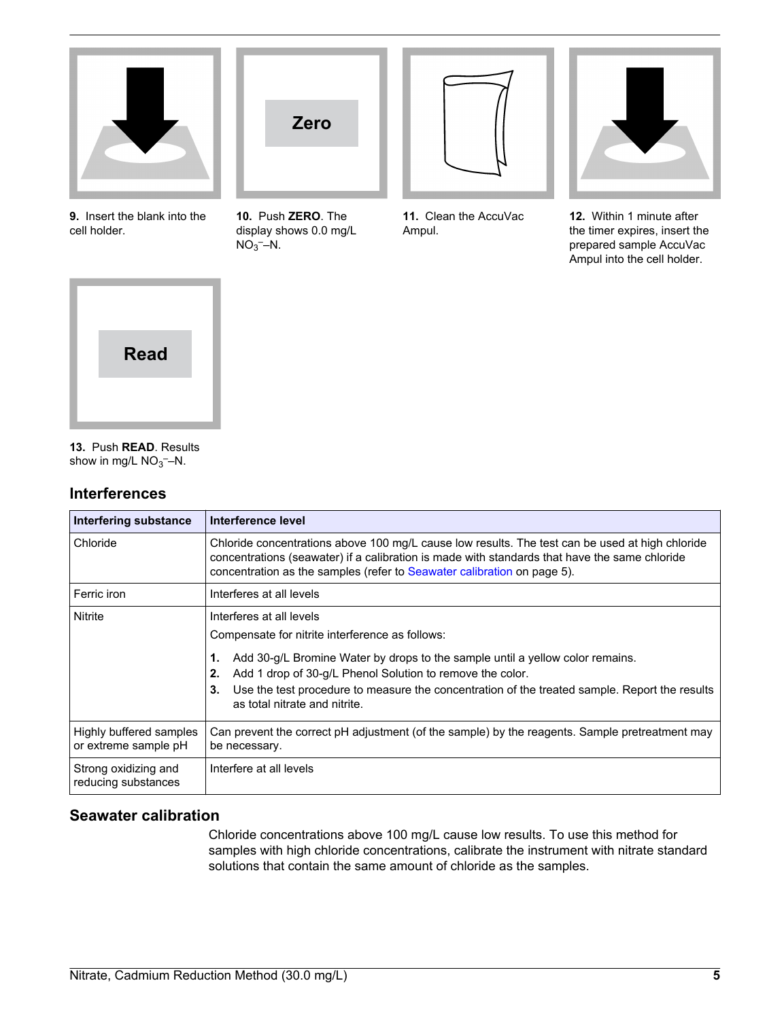

**9.** Insert the blank into the cell holder.



**10.** Push **ZERO**. The display shows 0.0 mg/L  $NO<sub>3</sub>$ –N.



**11.** Clean the AccuVac Ampul.



**12.** Within 1 minute after the timer expires, insert the prepared sample AccuVac Ampul into the cell holder.



**13.** Push **READ**. Results show in mg/L  $NO<sub>3</sub>$  -N.

# **Interferences**

| Interfering substance                           | Interference level                                                                                                                                                                                                                                                                                                                           |
|-------------------------------------------------|----------------------------------------------------------------------------------------------------------------------------------------------------------------------------------------------------------------------------------------------------------------------------------------------------------------------------------------------|
| Chloride                                        | Chloride concentrations above 100 mg/L cause low results. The test can be used at high chloride<br>concentrations (seawater) if a calibration is made with standards that have the same chloride<br>concentration as the samples (refer to Seawater calibration on page 5).                                                                  |
| Ferric iron                                     | Interferes at all levels                                                                                                                                                                                                                                                                                                                     |
| Nitrite                                         | Interferes at all levels<br>Compensate for nitrite interference as follows:<br>Add 30-g/L Bromine Water by drops to the sample until a yellow color remains.<br>1.<br>Add 1 drop of 30-g/L Phenol Solution to remove the color.<br>2.<br>Use the test procedure to measure the concentration of the treated sample. Report the results<br>3. |
|                                                 | as total nitrate and nitrite.                                                                                                                                                                                                                                                                                                                |
| Highly buffered samples<br>or extreme sample pH | Can prevent the correct pH adjustment (of the sample) by the reagents. Sample pretreatment may<br>be necessary.                                                                                                                                                                                                                              |
| Strong oxidizing and<br>reducing substances     | Interfere at all levels                                                                                                                                                                                                                                                                                                                      |

# **Seawater calibration**

Chloride concentrations above 100 mg/L cause low results. To use this method for samples with high chloride concentrations, calibrate the instrument with nitrate standard solutions that contain the same amount of chloride as the samples.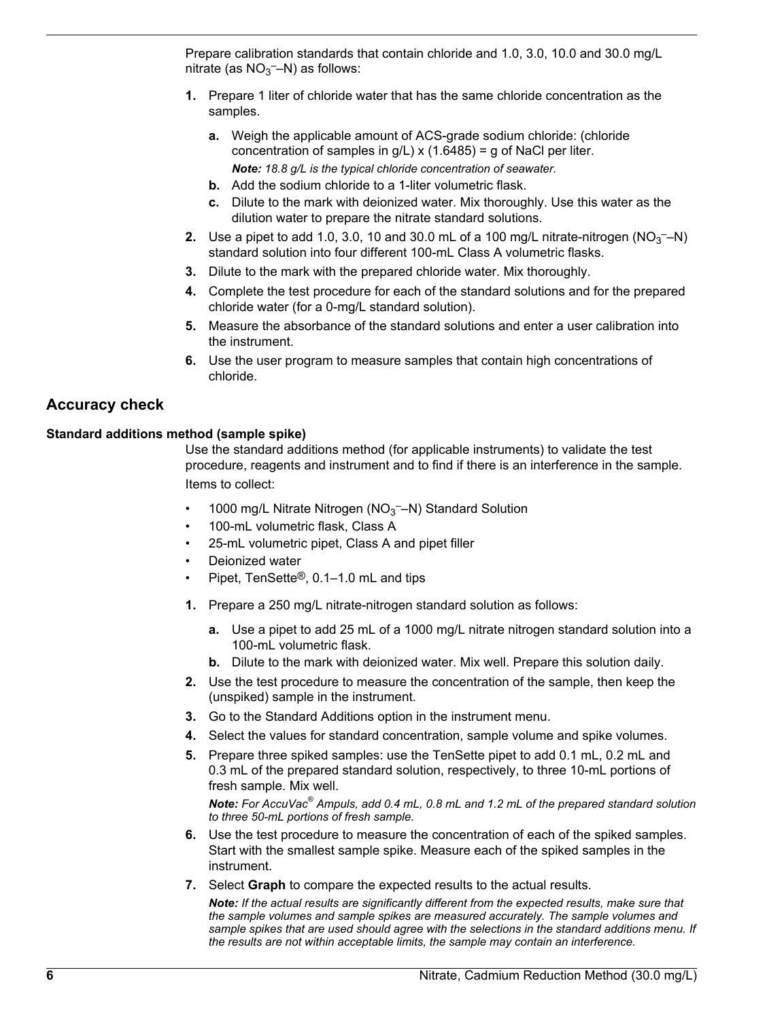Prepare calibration standards that contain chloride and 1.0, 3.0, 10.0 and 30.0 mg/L nitrate (as  $NO<sub>3</sub>$ -N) as follows:

- **1.** Prepare 1 liter of chloride water that has the same chloride concentration as the samples.
	- **a.** Weigh the applicable amount of ACS-grade sodium chloride: (chloride concentration of samples in  $g/L$ ) x (1.6485) = g of NaCl per liter. *Note: 18.8 g/L is the typical chloride concentration of seawater.*
	- **b.** Add the sodium chloride to a 1-liter volumetric flask.
	- **c.** Dilute to the mark with deionized water. Mix thoroughly. Use this water as the dilution water to prepare the nitrate standard solutions.
- **2.** Use a pipet to add 1.0, 3.0, 10 and 30.0 mL of a 100 mg/L nitrate-nitrogen  $(NO<sub>3</sub>$ <sup>-</sup>-N) standard solution into four different 100-mL Class A volumetric flasks.
- **3.** Dilute to the mark with the prepared chloride water. Mix thoroughly.
- **4.** Complete the test procedure for each of the standard solutions and for the prepared chloride water (for a 0-mg/L standard solution).
- **5.** Measure the absorbance of the standard solutions and enter a user calibration into the instrument.
- **6.** Use the user program to measure samples that contain high concentrations of chloride.

# **Accuracy check**

## **Standard additions method (sample spike)**

Use the standard additions method (for applicable instruments) to validate the test procedure, reagents and instrument and to find if there is an interference in the sample. Items to collect:

- 1000 mg/L Nitrate Nitrogen ( $NO<sub>3</sub>$  -N) Standard Solution
- 100-mL volumetric flask, Class A
- 25-mL volumetric pipet, Class A and pipet filler
- Deionized water
- Pipet, TenSette®, 0.1–1.0 mL and tips
- **1.** Prepare a 250 mg/L nitrate-nitrogen standard solution as follows:
	- **a.** Use a pipet to add 25 mL of a 1000 mg/L nitrate nitrogen standard solution into a 100-mL volumetric flask.
	- **b.** Dilute to the mark with deionized water. Mix well. Prepare this solution daily.
- **2.** Use the test procedure to measure the concentration of the sample, then keep the (unspiked) sample in the instrument.
- **3.** Go to the Standard Additions option in the instrument menu.
- **4.** Select the values for standard concentration, sample volume and spike volumes.
- **5.** Prepare three spiked samples: use the TenSette pipet to add 0.1 mL, 0.2 mL and 0.3 mL of the prepared standard solution, respectively, to three 10-mL portions of fresh sample. Mix well.

*Note: For AccuVac® Ampuls, add 0.4 mL, 0.8 mL and 1.2 mL of the prepared standard solution to three 50-mL portions of fresh sample.*

- **6.** Use the test procedure to measure the concentration of each of the spiked samples. Start with the smallest sample spike. Measure each of the spiked samples in the instrument.
- **7.** Select **Graph** to compare the expected results to the actual results.

*Note: If the actual results are significantly different from the expected results, make sure that the sample volumes and sample spikes are measured accurately. The sample volumes and sample spikes that are used should agree with the selections in the standard additions menu. If the results are not within acceptable limits, the sample may contain an interference.*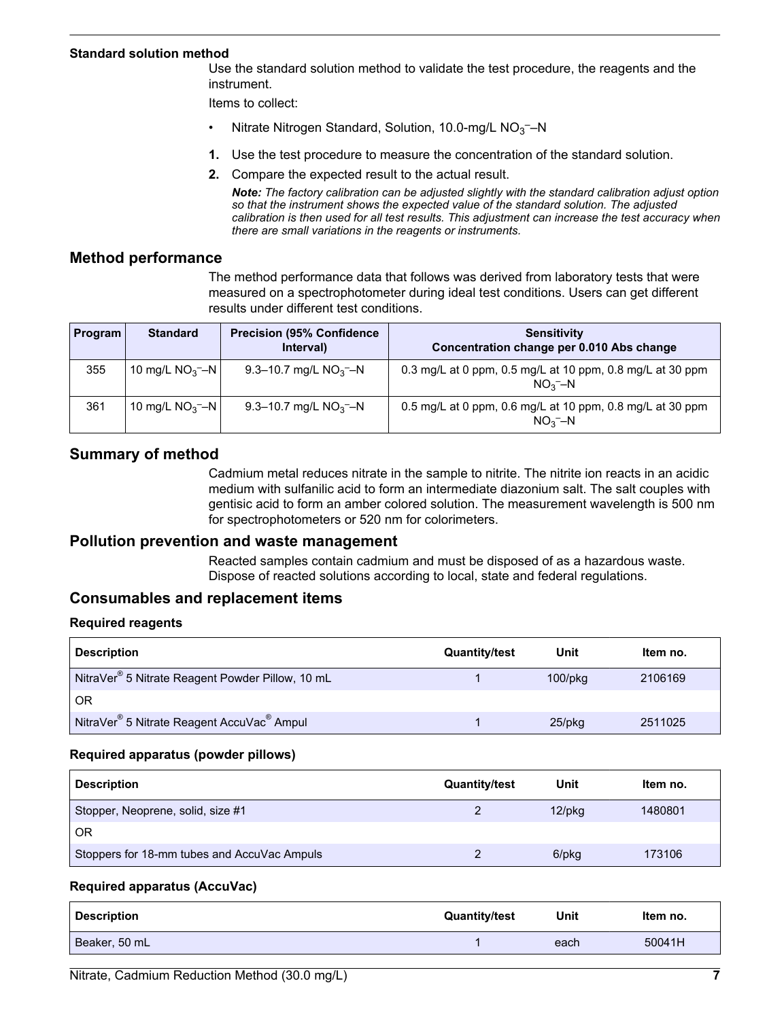#### <span id="page-6-0"></span>**Standard solution method**

Use the standard solution method to validate the test procedure, the reagents and the instrument.

Items to collect:

- Nitrate Nitrogen Standard, Solution, 10.0-mg/L  $NO<sub>3</sub>$  N
- **1.** Use the test procedure to measure the concentration of the standard solution.
- **2.** Compare the expected result to the actual result.

*Note: The factory calibration can be adjusted slightly with the standard calibration adjust option so that the instrument shows the expected value of the standard solution. The adjusted calibration is then used for all test results. This adjustment can increase the test accuracy when there are small variations in the reagents or instruments.*

#### **Method performance**

The method performance data that follows was derived from laboratory tests that were measured on a spectrophotometer during ideal test conditions. Users can get different results under different test conditions.

| <b>Program</b> | <b>Standard</b>  | <b>Precision (95% Confidence)</b><br>Interval) | <b>Sensitivity</b><br>Concentration change per 0.010 Abs change        |
|----------------|------------------|------------------------------------------------|------------------------------------------------------------------------|
| 355            | 10 mg/L $NO3$ -N | 9.3–10.7 mg/L $NO3$ –N                         | 0.3 mg/L at 0 ppm, 0.5 mg/L at 10 ppm, 0.8 mg/L at 30 ppm<br>$NO3 - N$ |
| 361            | 10 mg/L $NO3$ -N | 9.3–10.7 mg/L $NO3$ –N                         | 0.5 mg/L at 0 ppm, 0.6 mg/L at 10 ppm, 0.8 mg/L at 30 ppm<br>$NO3 - N$ |

# **Summary of method**

Cadmium metal reduces nitrate in the sample to nitrite. The nitrite ion reacts in an acidic medium with sulfanilic acid to form an intermediate diazonium salt. The salt couples with gentisic acid to form an amber colored solution. The measurement wavelength is 500 nm for spectrophotometers or 520 nm for colorimeters.

## **Pollution prevention and waste management**

Reacted samples contain cadmium and must be disposed of as a hazardous waste. Dispose of reacted solutions according to local, state and federal regulations.

# **Consumables and replacement items**

#### **Required reagents**

| <b>Description</b>                                                 | <b>Quantity/test</b> | Unit          | Item no. |
|--------------------------------------------------------------------|----------------------|---------------|----------|
| NitraVer <sup>®</sup> 5 Nitrate Reagent Powder Pillow, 10 mL       |                      | $100$ /p $kg$ | 2106169  |
| <b>OR</b>                                                          |                      |               |          |
| NitraVer <sup>®</sup> 5 Nitrate Reagent AccuVac <sup>®</sup> Ampul |                      | $25$ /pkq     | 2511025  |

#### **Required apparatus (powder pillows)**

| <b>Description</b>                          | <b>Quantity/test</b> | Unit      | Item no. |
|---------------------------------------------|----------------------|-----------|----------|
| Stopper, Neoprene, solid, size #1           |                      | $12$ /pkq | 1480801  |
| <b>OR</b>                                   |                      |           |          |
| Stoppers for 18-mm tubes and AccuVac Ampuls |                      | 6/pkg     | 173106   |

#### **Required apparatus (AccuVac)**

| <b>Description</b> | <b>Quantity/test</b> | Unit | Item no. |
|--------------------|----------------------|------|----------|
| Beaker, 50 mL      |                      | each | 50041H   |